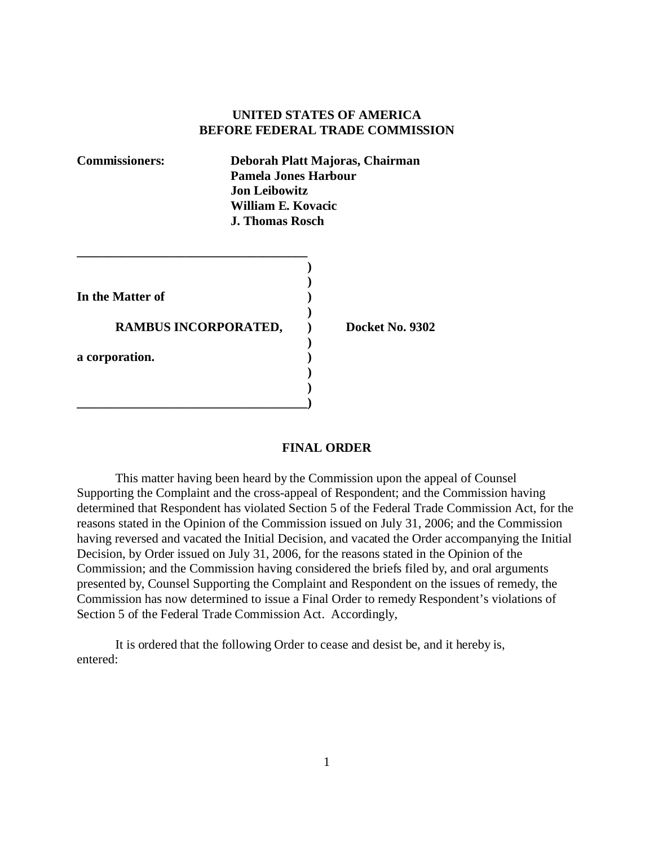## **UNITED STATES OF AMERICA BEFORE FEDERAL TRADE COMMISSION**

| <b>Commissioners:</b> | Deborah Platt Majoras, Chairman<br>Pamela Jones Harbour<br><b>Jon Leibowitz</b><br>William E. Kovacic<br><b>J. Thomas Rosch</b> |                 |
|-----------------------|---------------------------------------------------------------------------------------------------------------------------------|-----------------|
| In the Matter of      |                                                                                                                                 |                 |
| RAMBUS INCORPORATED,  |                                                                                                                                 | Docket No. 9302 |
| a corporation.        |                                                                                                                                 |                 |
|                       |                                                                                                                                 |                 |

## **FINAL ORDER**

This matter having been heard by the Commission upon the appeal of Counsel Supporting the Complaint and the cross-appeal of Respondent; and the Commission having determined that Respondent has violated Section 5 of the Federal Trade Commission Act, for the reasons stated in the Opinion of the Commission issued on July 31, 2006; and the Commission having reversed and vacated the Initial Decision, and vacated the Order accompanying the Initial Decision, by Order issued on July 31, 2006, for the reasons stated in the Opinion of the Commission; and the Commission having considered the briefs filed by, and oral arguments presented by, Counsel Supporting the Complaint and Respondent on the issues of remedy, the Commission has now determined to issue a Final Order to remedy Respondent's violations of Section 5 of the Federal Trade Commission Act. Accordingly,

It is ordered that the following Order to cease and desist be, and it hereby is, entered: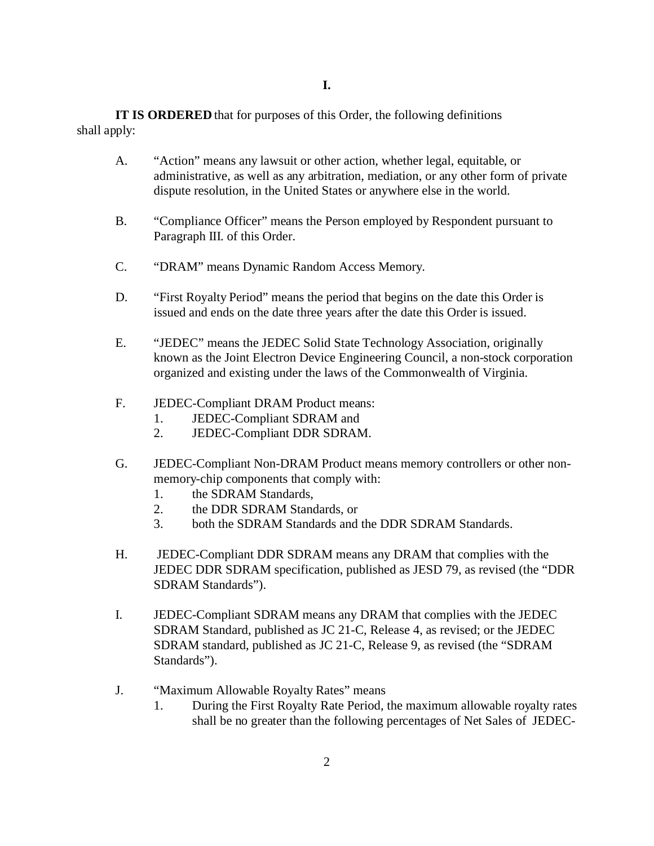**IT IS ORDERED** that for purposes of this Order, the following definitions shall apply:

- A. "Action" means any lawsuit or other action, whether legal, equitable, or administrative, as well as any arbitration, mediation, or any other form of private dispute resolution, in the United States or anywhere else in the world.
- B. "Compliance Officer" means the Person employed by Respondent pursuant to Paragraph III. of this Order.
- C. "DRAM" means Dynamic Random Access Memory.
- D. "First Royalty Period" means the period that begins on the date this Order is issued and ends on the date three years after the date this Order is issued.
- E. "JEDEC" means the JEDEC Solid State Technology Association, originally known as the Joint Electron Device Engineering Council, a non-stock corporation organized and existing under the laws of the Commonwealth of Virginia.
- F. JEDEC-Compliant DRAM Product means:
	- 1. JEDEC-Compliant SDRAM and
	- 2. JEDEC-Compliant DDR SDRAM.
- G. JEDEC-Compliant Non-DRAM Product means memory controllers or other nonmemory-chip components that comply with:
	- 1. the SDRAM Standards,
	- 2. the DDR SDRAM Standards, or
	- 3. both the SDRAM Standards and the DDR SDRAM Standards.
- H. JEDEC-Compliant DDR SDRAM means any DRAM that complies with the JEDEC DDR SDRAM specification, published as JESD 79, as revised (the "DDR SDRAM Standards").
- I. JEDEC-Compliant SDRAM means any DRAM that complies with the JEDEC SDRAM Standard, published as JC 21-C, Release 4, as revised; or the JEDEC SDRAM standard, published as JC 21-C, Release 9, as revised (the "SDRAM Standards").
- J. "Maximum Allowable Royalty Rates" means
	- 1. During the First Royalty Rate Period, the maximum allowable royalty rates shall be no greater than the following percentages of Net Sales of JEDEC-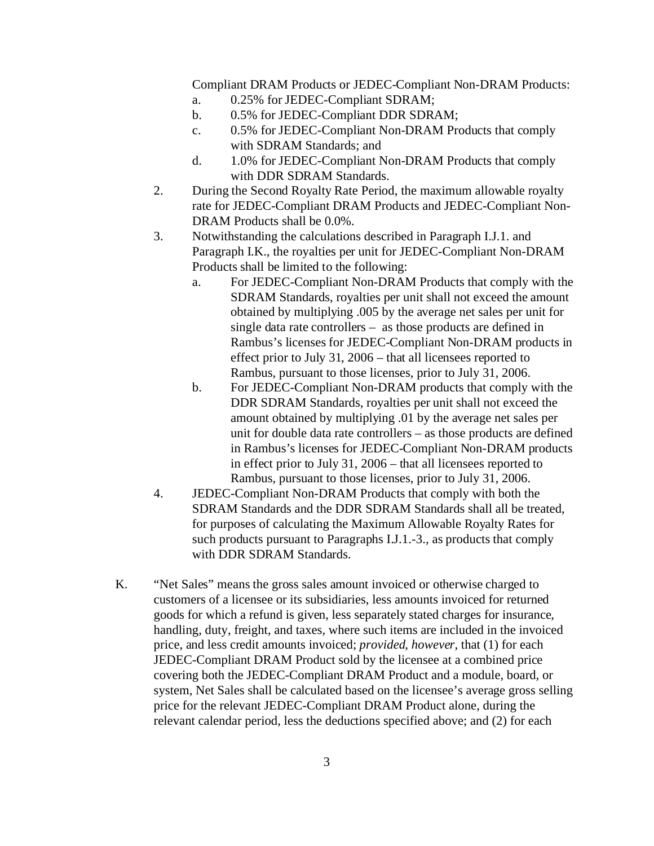Compliant DRAM Products or JEDEC-Compliant Non-DRAM Products:

- a. 0.25% for JEDEC-Compliant SDRAM;
- b. 0.5% for JEDEC-Compliant DDR SDRAM;
- c. 0.5% for JEDEC-Compliant Non-DRAM Products that comply with SDRAM Standards; and
- d. 1.0% for JEDEC-Compliant Non-DRAM Products that comply with DDR SDRAM Standards.
- 2. During the Second Royalty Rate Period, the maximum allowable royalty rate for JEDEC-Compliant DRAM Products and JEDEC-Compliant Non-DRAM Products shall be 0.0%.
- 3. Notwithstanding the calculations described in Paragraph I.J.1. and Paragraph I.K., the royalties per unit for JEDEC-Compliant Non-DRAM Products shall be limited to the following:
	- a. For JEDEC-Compliant Non-DRAM Products that comply with the SDRAM Standards, royalties per unit shall not exceed the amount obtained by multiplying .005 by the average net sales per unit for single data rate controllers – as those products are defined in Rambus's licenses for JEDEC-Compliant Non-DRAM products in effect prior to July 31, 2006 – that all licensees reported to Rambus, pursuant to those licenses, prior to July 31, 2006.
	- b. For JEDEC-Compliant Non-DRAM products that comply with the DDR SDRAM Standards, royalties per unit shall not exceed the amount obtained by multiplying .01 by the average net sales per unit for double data rate controllers – as those products are defined in Rambus's licenses for JEDEC-Compliant Non-DRAM products in effect prior to July 31, 2006 – that all licensees reported to Rambus, pursuant to those licenses, prior to July 31, 2006.
- 4. JEDEC-Compliant Non-DRAM Products that comply with both the SDRAM Standards and the DDR SDRAM Standards shall all be treated, for purposes of calculating the Maximum Allowable Royalty Rates for such products pursuant to Paragraphs I.J.1.-3., as products that comply with DDR SDRAM Standards.
- K. "Net Sales" means the gross sales amount invoiced or otherwise charged to customers of a licensee or its subsidiaries, less amounts invoiced for returned goods for which a refund is given, less separately stated charges for insurance, handling, duty, freight, and taxes, where such items are included in the invoiced price, and less credit amounts invoiced; *provided, however,* that (1) for each JEDEC-Compliant DRAM Product sold by the licensee at a combined price covering both the JEDEC-Compliant DRAM Product and a module, board, or system, Net Sales shall be calculated based on the licensee's average gross selling price for the relevant JEDEC-Compliant DRAM Product alone, during the relevant calendar period, less the deductions specified above; and (2) for each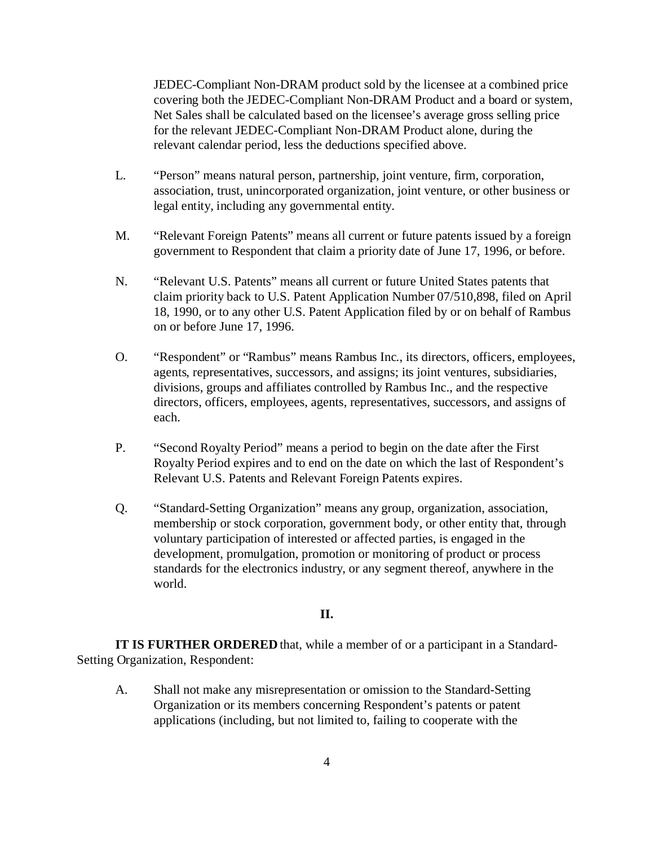JEDEC-Compliant Non-DRAM product sold by the licensee at a combined price covering both the JEDEC-Compliant Non-DRAM Product and a board or system, Net Sales shall be calculated based on the licensee's average gross selling price for the relevant JEDEC-Compliant Non-DRAM Product alone, during the relevant calendar period, less the deductions specified above.

- L. "Person" means natural person, partnership, joint venture, firm, corporation, association, trust, unincorporated organization, joint venture, or other business or legal entity, including any governmental entity.
- M. "Relevant Foreign Patents" means all current or future patents issued by a foreign government to Respondent that claim a priority date of June 17, 1996, or before.
- N. "Relevant U.S. Patents" means all current or future United States patents that claim priority back to U.S. Patent Application Number 07/510,898, filed on April 18, 1990, or to any other U.S. Patent Application filed by or on behalf of Rambus on or before June 17, 1996.
- O. "Respondent" or "Rambus" means Rambus Inc., its directors, officers, employees, agents, representatives, successors, and assigns; its joint ventures, subsidiaries, divisions, groups and affiliates controlled by Rambus Inc., and the respective directors, officers, employees, agents, representatives, successors, and assigns of each.
- P. "Second Royalty Period" means a period to begin on the date after the First Royalty Period expires and to end on the date on which the last of Respondent's Relevant U.S. Patents and Relevant Foreign Patents expires.
- Q. "Standard-Setting Organization" means any group, organization, association, membership or stock corporation, government body, or other entity that, through voluntary participation of interested or affected parties, is engaged in the development, promulgation, promotion or monitoring of product or process standards for the electronics industry, or any segment thereof, anywhere in the world.

# **II.**

**IT IS FURTHER ORDERED** that, while a member of or a participant in a Standard-Setting Organization, Respondent:

A. Shall not make any misrepresentation or omission to the Standard-Setting Organization or its members concerning Respondent's patents or patent applications (including, but not limited to, failing to cooperate with the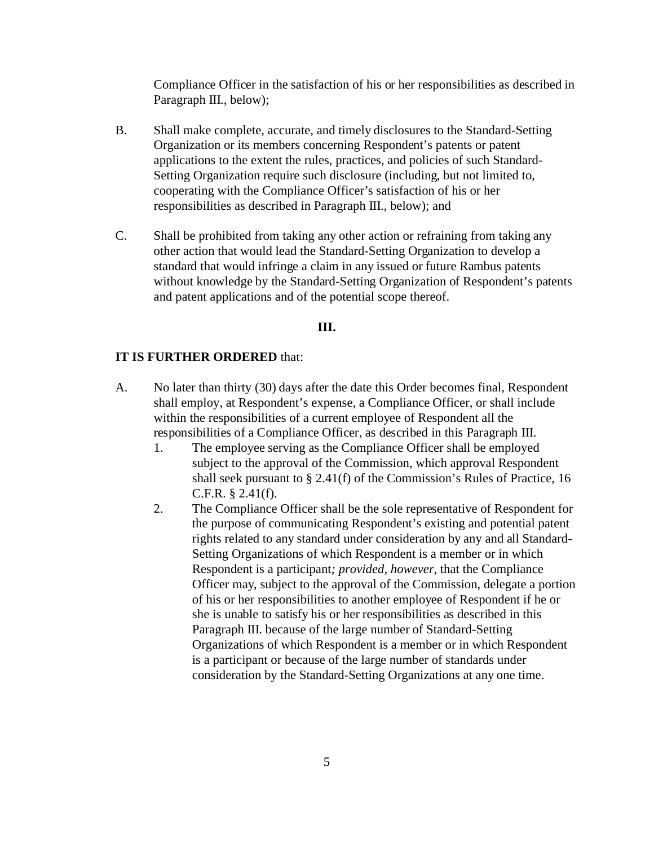Compliance Officer in the satisfaction of his or her responsibilities as described in Paragraph III., below);

- B. Shall make complete, accurate, and timely disclosures to the Standard-Setting Organization or its members concerning Respondent's patents or patent applications to the extent the rules, practices, and policies of such Standard-Setting Organization require such disclosure (including, but not limited to, cooperating with the Compliance Officer's satisfaction of his or her responsibilities as described in Paragraph III., below); and
- C. Shall be prohibited from taking any other action or refraining from taking any other action that would lead the Standard-Setting Organization to develop a standard that would infringe a claim in any issued or future Rambus patents without knowledge by the Standard-Setting Organization of Respondent's patents and patent applications and of the potential scope thereof.

#### **III.**

#### **IT IS FURTHER ORDERED** that:

- A. No later than thirty (30) days after the date this Order becomes final, Respondent shall employ, at Respondent's expense, a Compliance Officer, or shall include within the responsibilities of a current employee of Respondent all the responsibilities of a Compliance Officer, as described in this Paragraph III.
	- 1. The employee serving as the Compliance Officer shall be employed subject to the approval of the Commission, which approval Respondent shall seek pursuant to § 2.41(f) of the Commission's Rules of Practice, 16 C.F.R. § 2.41(f).
	- 2. The Compliance Officer shall be the sole representative of Respondent for the purpose of communicating Respondent's existing and potential patent rights related to any standard under consideration by any and all Standard-Setting Organizations of which Respondent is a member or in which Respondent is a participant*; provided, however*, that the Compliance Officer may, subject to the approval of the Commission, delegate a portion of his or her responsibilities to another employee of Respondent if he or she is unable to satisfy his or her responsibilities as described in this Paragraph III. because of the large number of Standard-Setting Organizations of which Respondent is a member or in which Respondent is a participant or because of the large number of standards under consideration by the Standard-Setting Organizations at any one time.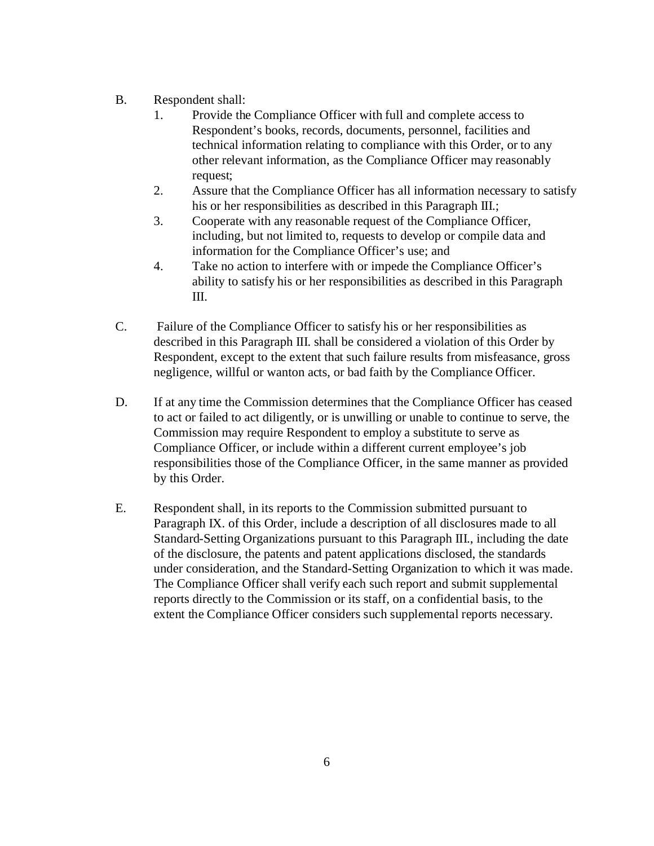- B. Respondent shall:
	- 1. Provide the Compliance Officer with full and complete access to Respondent's books, records, documents, personnel, facilities and technical information relating to compliance with this Order, or to any other relevant information, as the Compliance Officer may reasonably request;
	- 2. Assure that the Compliance Officer has all information necessary to satisfy his or her responsibilities as described in this Paragraph III.;
	- 3. Cooperate with any reasonable request of the Compliance Officer, including, but not limited to, requests to develop or compile data and information for the Compliance Officer's use; and
	- 4. Take no action to interfere with or impede the Compliance Officer's ability to satisfy his or her responsibilities as described in this Paragraph III.
- C. Failure of the Compliance Officer to satisfy his or her responsibilities as described in this Paragraph III. shall be considered a violation of this Order by Respondent, except to the extent that such failure results from misfeasance, gross negligence, willful or wanton acts, or bad faith by the Compliance Officer.
- D. If at any time the Commission determines that the Compliance Officer has ceased to act or failed to act diligently, or is unwilling or unable to continue to serve, the Commission may require Respondent to employ a substitute to serve as Compliance Officer, or include within a different current employee's job responsibilities those of the Compliance Officer, in the same manner as provided by this Order.
- E. Respondent shall, in its reports to the Commission submitted pursuant to Paragraph IX. of this Order, include a description of all disclosures made to all Standard-Setting Organizations pursuant to this Paragraph III., including the date of the disclosure, the patents and patent applications disclosed, the standards under consideration, and the Standard-Setting Organization to which it was made. The Compliance Officer shall verify each such report and submit supplemental reports directly to the Commission or its staff, on a confidential basis, to the extent the Compliance Officer considers such supplemental reports necessary.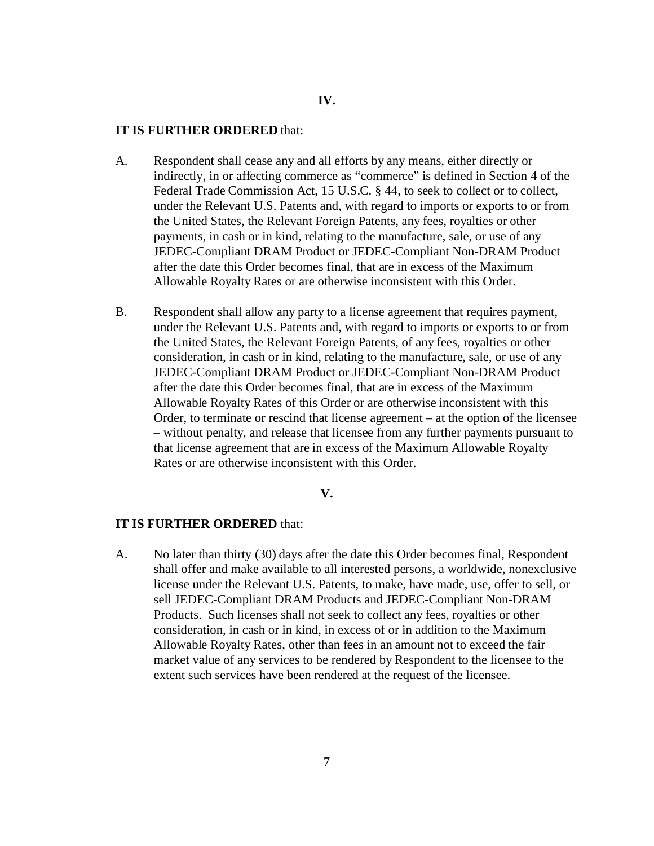# **IV.**

#### **IT IS FURTHER ORDERED** that:

- A. Respondent shall cease any and all efforts by any means, either directly or indirectly, in or affecting commerce as "commerce" is defined in Section 4 of the Federal Trade Commission Act, 15 U.S.C. § 44, to seek to collect or to collect, under the Relevant U.S. Patents and, with regard to imports or exports to or from the United States, the Relevant Foreign Patents, any fees, royalties or other payments, in cash or in kind, relating to the manufacture, sale, or use of any JEDEC-Compliant DRAM Product or JEDEC-Compliant Non-DRAM Product after the date this Order becomes final, that are in excess of the Maximum Allowable Royalty Rates or are otherwise inconsistent with this Order.
- B. Respondent shall allow any party to a license agreement that requires payment, under the Relevant U.S. Patents and, with regard to imports or exports to or from the United States, the Relevant Foreign Patents, of any fees, royalties or other consideration, in cash or in kind, relating to the manufacture, sale, or use of any JEDEC-Compliant DRAM Product or JEDEC-Compliant Non-DRAM Product after the date this Order becomes final, that are in excess of the Maximum Allowable Royalty Rates of this Order or are otherwise inconsistent with this Order, to terminate or rescind that license agreement – at the option of the licensee – without penalty, and release that licensee from any further payments pursuant to that license agreement that are in excess of the Maximum Allowable Royalty Rates or are otherwise inconsistent with this Order.

**V.**

## **IT IS FURTHER ORDERED** that:

A. No later than thirty (30) days after the date this Order becomes final, Respondent shall offer and make available to all interested persons, a worldwide, nonexclusive license under the Relevant U.S. Patents, to make, have made, use, offer to sell, or sell JEDEC-Compliant DRAM Products and JEDEC-Compliant Non-DRAM Products. Such licenses shall not seek to collect any fees, royalties or other consideration, in cash or in kind, in excess of or in addition to the Maximum Allowable Royalty Rates, other than fees in an amount not to exceed the fair market value of any services to be rendered by Respondent to the licensee to the extent such services have been rendered at the request of the licensee.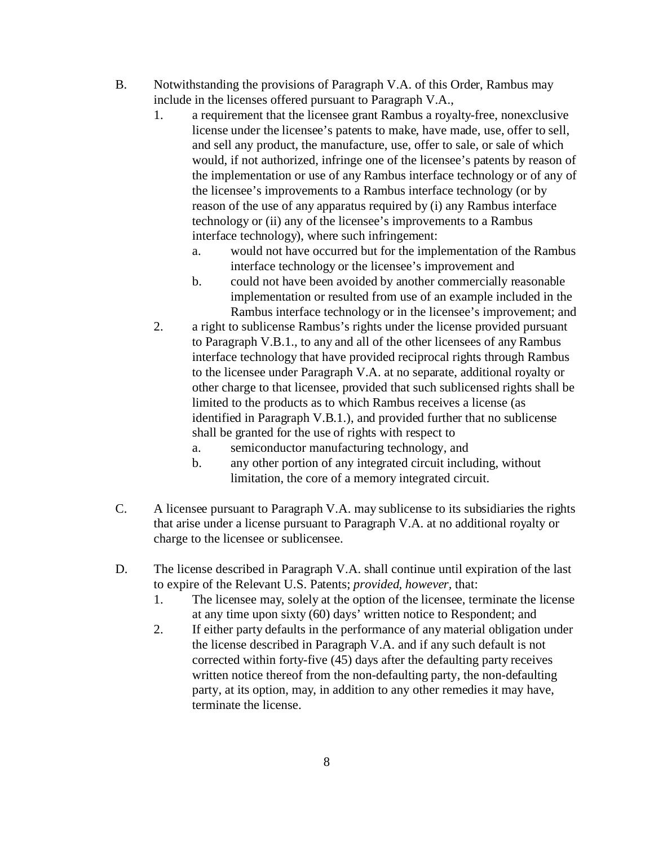- B. Notwithstanding the provisions of Paragraph V.A. of this Order, Rambus may include in the licenses offered pursuant to Paragraph V.A.,
	- 1. a requirement that the licensee grant Rambus a royalty-free, nonexclusive license under the licensee's patents to make, have made, use, offer to sell, and sell any product, the manufacture, use, offer to sale, or sale of which would, if not authorized, infringe one of the licensee's patents by reason of the implementation or use of any Rambus interface technology or of any of the licensee's improvements to a Rambus interface technology (or by reason of the use of any apparatus required by (i) any Rambus interface technology or (ii) any of the licensee's improvements to a Rambus interface technology), where such infringement:
		- a. would not have occurred but for the implementation of the Rambus interface technology or the licensee's improvement and
		- b. could not have been avoided by another commercially reasonable implementation or resulted from use of an example included in the Rambus interface technology or in the licensee's improvement; and
	- 2. a right to sublicense Rambus's rights under the license provided pursuant to Paragraph V.B.1., to any and all of the other licensees of any Rambus interface technology that have provided reciprocal rights through Rambus to the licensee under Paragraph V.A. at no separate, additional royalty or other charge to that licensee, provided that such sublicensed rights shall be limited to the products as to which Rambus receives a license (as identified in Paragraph V.B.1.), and provided further that no sublicense shall be granted for the use of rights with respect to
		- a. semiconductor manufacturing technology, and
		- b. any other portion of any integrated circuit including, without limitation, the core of a memory integrated circuit.
- C. A licensee pursuant to Paragraph V.A. may sublicense to its subsidiaries the rights that arise under a license pursuant to Paragraph V.A. at no additional royalty or charge to the licensee or sublicensee.
- D. The license described in Paragraph V.A. shall continue until expiration of the last to expire of the Relevant U.S. Patents; *provided, however,* that:
	- 1. The licensee may, solely at the option of the licensee, terminate the license at any time upon sixty (60) days' written notice to Respondent; and
	- 2. If either party defaults in the performance of any material obligation under the license described in Paragraph V.A. and if any such default is not corrected within forty-five (45) days after the defaulting party receives written notice thereof from the non-defaulting party, the non-defaulting party, at its option, may, in addition to any other remedies it may have, terminate the license.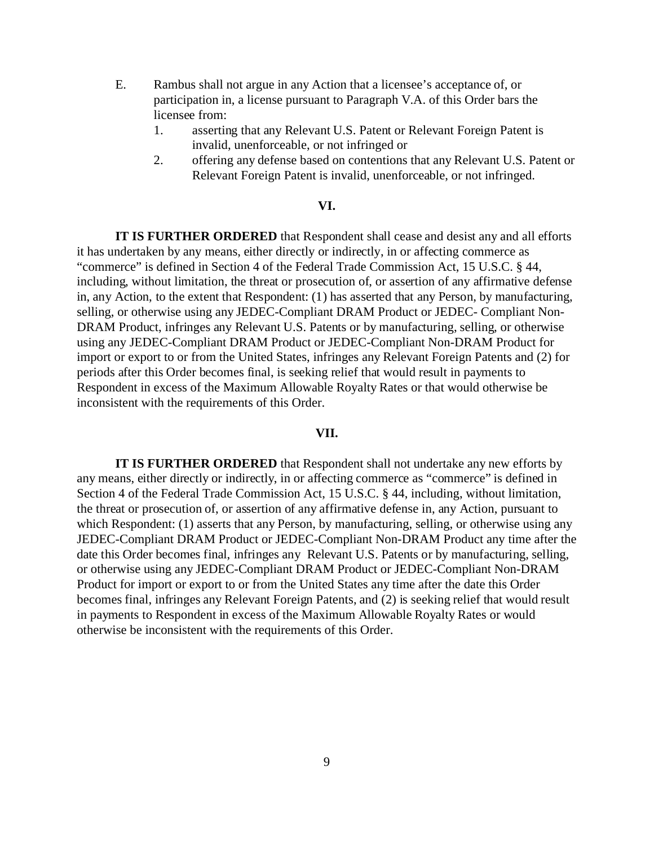- E. Rambus shall not argue in any Action that a licensee's acceptance of, or participation in, a license pursuant to Paragraph V.A. of this Order bars the licensee from:
	- 1. asserting that any Relevant U.S. Patent or Relevant Foreign Patent is invalid, unenforceable, or not infringed or
	- 2. offering any defense based on contentions that any Relevant U.S. Patent or Relevant Foreign Patent is invalid, unenforceable, or not infringed.

### **VI.**

**IT IS FURTHER ORDERED** that Respondent shall cease and desist any and all efforts it has undertaken by any means, either directly or indirectly, in or affecting commerce as "commerce" is defined in Section 4 of the Federal Trade Commission Act, 15 U.S.C. § 44, including, without limitation, the threat or prosecution of, or assertion of any affirmative defense in, any Action, to the extent that Respondent: (1) has asserted that any Person, by manufacturing, selling, or otherwise using any JEDEC-Compliant DRAM Product or JEDEC- Compliant Non-DRAM Product, infringes any Relevant U.S. Patents or by manufacturing, selling, or otherwise using any JEDEC-Compliant DRAM Product or JEDEC-Compliant Non-DRAM Product for import or export to or from the United States, infringes any Relevant Foreign Patents and (2) for periods after this Order becomes final, is seeking relief that would result in payments to Respondent in excess of the Maximum Allowable Royalty Rates or that would otherwise be inconsistent with the requirements of this Order.

#### **VII.**

**IT IS FURTHER ORDERED** that Respondent shall not undertake any new efforts by any means, either directly or indirectly, in or affecting commerce as "commerce" is defined in Section 4 of the Federal Trade Commission Act, 15 U.S.C. § 44, including, without limitation, the threat or prosecution of, or assertion of any affirmative defense in, any Action, pursuant to which Respondent: (1) asserts that any Person, by manufacturing, selling, or otherwise using any JEDEC-Compliant DRAM Product or JEDEC-Compliant Non-DRAM Product any time after the date this Order becomes final, infringes any Relevant U.S. Patents or by manufacturing, selling, or otherwise using any JEDEC-Compliant DRAM Product or JEDEC-Compliant Non-DRAM Product for import or export to or from the United States any time after the date this Order becomes final, infringes any Relevant Foreign Patents, and (2) is seeking relief that would result in payments to Respondent in excess of the Maximum Allowable Royalty Rates or would otherwise be inconsistent with the requirements of this Order.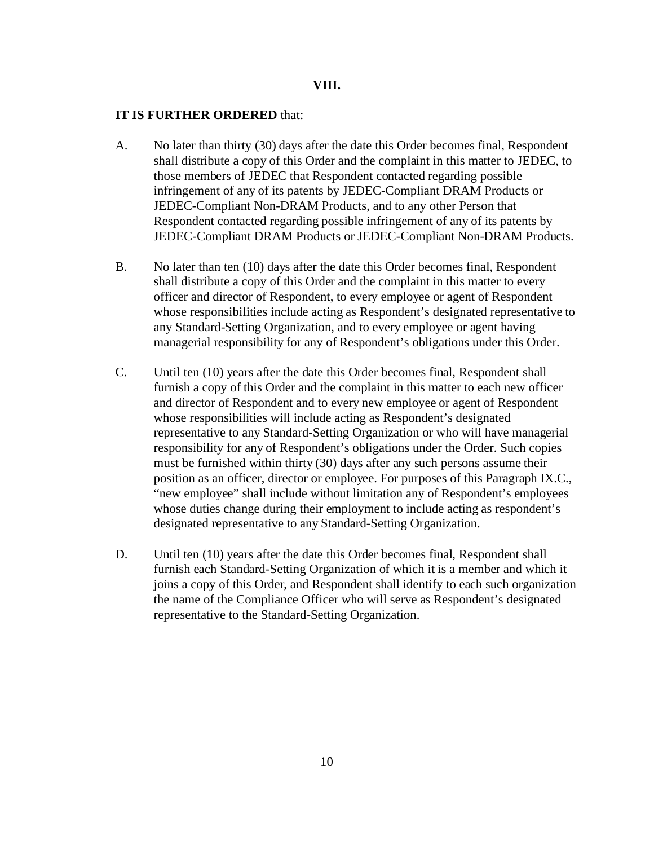#### **VIII.**

### **IT IS FURTHER ORDERED** that:

- A. No later than thirty (30) days after the date this Order becomes final, Respondent shall distribute a copy of this Order and the complaint in this matter to JEDEC, to those members of JEDEC that Respondent contacted regarding possible infringement of any of its patents by JEDEC-Compliant DRAM Products or JEDEC-Compliant Non-DRAM Products, and to any other Person that Respondent contacted regarding possible infringement of any of its patents by JEDEC-Compliant DRAM Products or JEDEC-Compliant Non-DRAM Products.
- B. No later than ten (10) days after the date this Order becomes final, Respondent shall distribute a copy of this Order and the complaint in this matter to every officer and director of Respondent, to every employee or agent of Respondent whose responsibilities include acting as Respondent's designated representative to any Standard-Setting Organization, and to every employee or agent having managerial responsibility for any of Respondent's obligations under this Order.
- C. Until ten (10) years after the date this Order becomes final, Respondent shall furnish a copy of this Order and the complaint in this matter to each new officer and director of Respondent and to every new employee or agent of Respondent whose responsibilities will include acting as Respondent's designated representative to any Standard-Setting Organization or who will have managerial responsibility for any of Respondent's obligations under the Order. Such copies must be furnished within thirty (30) days after any such persons assume their position as an officer, director or employee. For purposes of this Paragraph IX.C., "new employee" shall include without limitation any of Respondent's employees whose duties change during their employment to include acting as respondent's designated representative to any Standard-Setting Organization.
- D. Until ten (10) years after the date this Order becomes final, Respondent shall furnish each Standard-Setting Organization of which it is a member and which it joins a copy of this Order, and Respondent shall identify to each such organization the name of the Compliance Officer who will serve as Respondent's designated representative to the Standard-Setting Organization.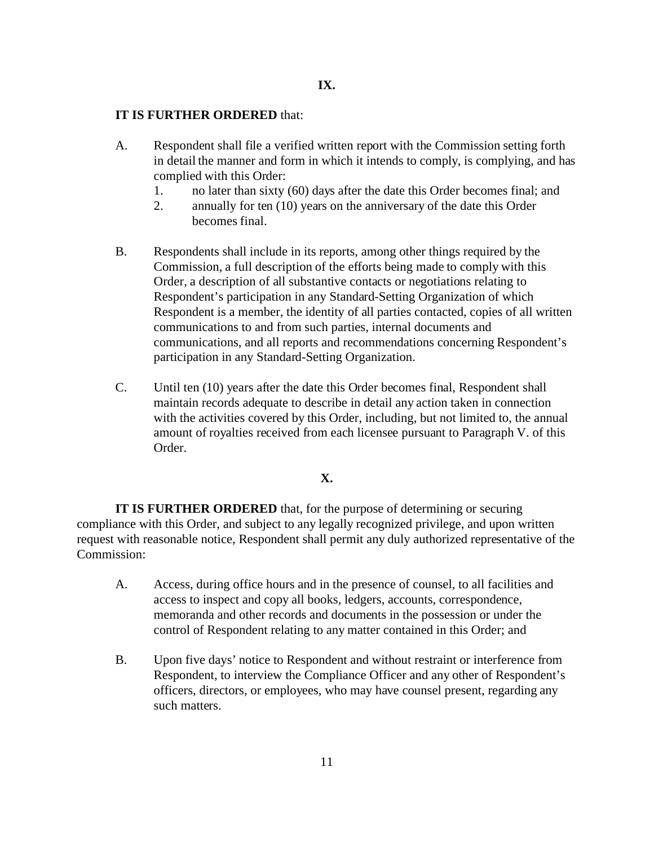### **IT IS FURTHER ORDERED** that:

- A. Respondent shall file a verified written report with the Commission setting forth in detail the manner and form in which it intends to comply, is complying, and has complied with this Order:
	- 1. no later than sixty (60) days after the date this Order becomes final; and
	- 2. annually for ten (10) years on the anniversary of the date this Order becomes final.
- B. Respondents shall include in its reports, among other things required by the Commission, a full description of the efforts being made to comply with this Order, a description of all substantive contacts or negotiations relating to Respondent's participation in any Standard-Setting Organization of which Respondent is a member, the identity of all parties contacted, copies of all written communications to and from such parties, internal documents and communications, and all reports and recommendations concerning Respondent's participation in any Standard-Setting Organization.
- C. Until ten (10) years after the date this Order becomes final, Respondent shall maintain records adequate to describe in detail any action taken in connection with the activities covered by this Order, including, but not limited to, the annual amount of royalties received from each licensee pursuant to Paragraph V. of this Order.

# **X.**

**IT IS FURTHER ORDERED** that, for the purpose of determining or securing compliance with this Order, and subject to any legally recognized privilege, and upon written request with reasonable notice, Respondent shall permit any duly authorized representative of the Commission:

- A. Access, during office hours and in the presence of counsel, to all facilities and access to inspect and copy all books, ledgers, accounts, correspondence, memoranda and other records and documents in the possession or under the control of Respondent relating to any matter contained in this Order; and
- B. Upon five days' notice to Respondent and without restraint or interference from Respondent, to interview the Compliance Officer and any other of Respondent's officers, directors, or employees, who may have counsel present, regarding any such matters.